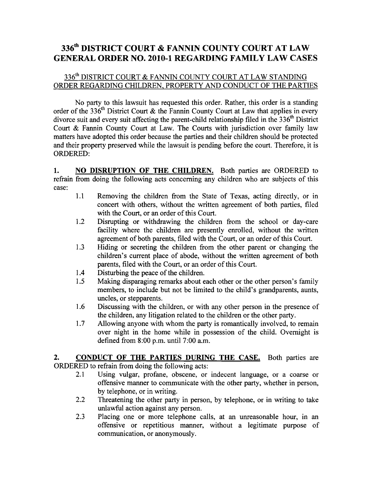## 336th DISTRICT COURT & FANNIN COUNTY COURT AT LAW GENERAL ORDER NO. 2010-1 REGARDING FAMILY LAW CASES

## 336<sup>th</sup> DISTRICT COURT & FANNIN COUNTY COURT AT LAW STANDING ORDER REGARDING CHILDREN, PROPERTY AND CONDUCT OF THE PARTIES

No party to this lawsuit has requested this order. Rather, this order is a standing order of the 336<sup>th</sup> District Court & the Fannin County Court at Law that applies in every divorce suit and every suit affecting the parent-child relationship filed in the 336<sup>th</sup> District Court & Fannin County Court at Law. The Courts with jurisdiction over family law matters have adopted this order because the parties and their children should be protected and their property preserved while the lawsuit is pending before the court. Therefore, it is ORDERED:

1. NO DISRUPTION OF THE CHILDREN. Both parties are ORDERED to refrain from doing the following acts concerning any children who are subjects of this case:

- 1.1 Removing the children from the State of Texas, acting directly, or in concert with others, without the written agreement of both parties, filed with the Court, or an order of this Court.
- 1.2 Disrupting or withdrawing the children from the school or day-care facility where the children are presently enrolled, without the written agreement of both parents, filed with the Court, or an order of this Court.
- 1.3 Hiding or secreting the children from the other parent or changing the children's current place of abode, without the written agreement of both parents, filed with the Court, or an order of this Court.
- 1.4 Disturbing the peace of the children.
- 1.5 Making disparaging remarks about each other or the other person's family members, to include but not be limited to the child's grandparents, aunts, uncles, or stepparents.
- 1.6 Discussing with the children, or with any other person in the presence of the children, any litigation related to the children or the other party.
- 1.7 Allowing anyone with whom the party is romantically involved, to remain over night in the home while in possession of the child. Overnight is defined from 8:00 p.m. until 7:00 a.m.

2. CONDUCT OF THE PARTIES DURING THE CASE. Both parties are ORDERED to refrain from doing the following acts:

- 2.1 Using vulgar, profane, obscene, or indecent language, or a coarse or offensive manner to communicate with the other party, whether in person, by telephone, or in writing.
- 2.2 Threatening the other party in person, by telephone, or in writing to take unlawful action against any person.
- 2.3 Placing one or more telephone calls, at an unreasonable hour, in an offensive or repetitious manner, without a legitimate purpose of communication, or anonymously.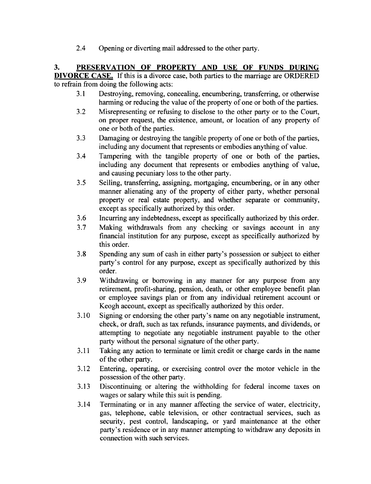2.4 Opening or diverting mail addressed to the other party.

3. PRESERVATION OF PROPERTY AND USE OF FUNDS DURING

DIVORCE CASE. If this is a divorce case, both parties to the marriage are ORDERED to refrain from doing the following acts:

- 3.1 Destroying, removing, concealing, encumbering, transferring, or otherwise harming or reducing the value of the property of one or both of the parties.
- 3.2 Misrepresenting or refusing to disclose to the other party or to the Court, on proper request, the existence, amount, or location of any property of one or both of the parties.
- 3.3 Damaging or destroying the tangible property of one or both of the parties, including any document that represents or embodies anything of value.
- 3.4 Tampering with the tangible property of one or both of the parties, including any document that represents or embodies anything of value, and causing pecuniary loss to the other party.
- 3.5 Selling, transferring, assigning, mortgaging, encumbering, or in any other manner alienating any of the property of either party, whether personal property or real estate property, and whether separate or community, except as specifically authorized by this order.
- 3.6 Incurring any indebtedness, except as specifically authorized by this order.
- 3.7 Making withdrawals from any checking or savings account in any financial institution for any purpose, except as specifically authorized by this order.
- 3.8 Spending any sum of cash in either party's possession or subject to either party's control for any purpose, except as specifically authorized by this order.
- 3.9 Withdrawing or borrowing in any manner for any purpose from any retirement, profit-sharing, pension, death, or other employee benefit plan or employee savings plan or from any individual retirement account or Keogh account, except as specifically authorized by this order.
- 3.10 Signing or endorsing the other party's name on any negotiable instrument, check, or draft, such as tax refunds, insurance payments, and dividends, or attempting to negotiate any negotiable instrument payable to the other party without the personal signature of the other party.
- 3.11 Taking any action to terminate or limit credit or charge cards in the name of the other party.
- 3.12 Entering, operating, or exercising control over the motor vehicle in the possession of the other party.
- 3.13 Discontinuing or altering the withholding for federal income taxes on wages or salary while this suit is pending.
- 3.14 Terminating or in any manner affecting the service of water, electricity, gas, telephone, cable television, or other contractual services, such as security, pest control, landscaping, or yard maintenance at the other party's residence or in any manner attempting to withdraw any deposits in connection with such services.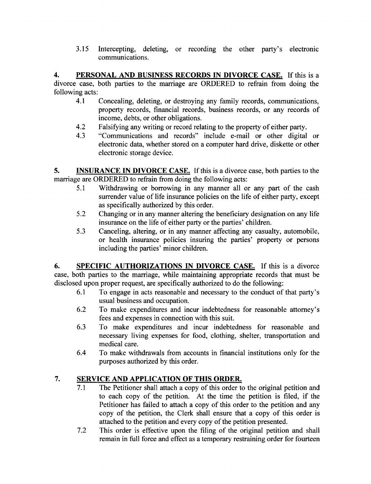3.15 Intercepting, deleting, or recording the other party's electronic communications.

4. PERSONAL AND BUSINESS RECORDS IN DIVORCE CASE. If this is a divorce case, both parties to the marriage are ORDERED to refrain from doing the following acts:

- 4.1 Concealing, deleting, or destroying any family records, communications, property records, financial records, business records, or any records of income, debts, or other obligations.
- 4.2 Falsifying any writing or record relating to the property of either party.
- 4.3 "Communications and records" include e-mail or other digital or electronic data, whether stored on a computer hard drive, diskette or other electronic storage device.

5. INSURANCE IN DIVORCE CASE. If this is a divorce case, both parties to the marriage are ORDERED to refrain from doing the following acts:

- 5.1 Withdrawing or borrowing in any manner all or any part of the cash surrender value of life insurance policies on the life of either party, except as specifically authorized by this order.
- 5.2 Changing or in any manner altering the beneficiary designation on any life insurance on the life of either party or the parties' children.
- 5.3 Canceling, altering, or in any manner affecting any casualty, automobile, or health insurance policies insuring the parties' property or persons including the parties' minor children.

6. SPECIFIC AUTHORIZATIONS IN DIVORCE CASE. If this is a divorce case, both parties to the marriage, while maintaining appropriate records that must be disclosed upon proper request, are specifically authorized to do the following:

- 6.1 To engage in acts reasonable and necessary to the conduct of that party's usual business and occupation.
- 6.2 To make expenditures and incur indebtedness for reasonable attorney's fees and expenses in connection with this suit.
- 6.3 To make expenditures and incur indebtedness for reasonable and necessary living expenses for food, clothing, shelter, transportation and medical care.
- 6.4 To make withdrawals from accounts in financial institutions only for the purposes authorized by this order.

## 7. SERVICE AND APPLICATION OF THIS ORDER.

- 7.1 The Petitioner shall attach a copy of this order to the original petition and to each copy of the petition. At the time the petition is filed, if the Petitioner has failed to attach a copy of this order to the petition and any copy of the petition, the Clerk shall ensure that a copy of this order is attached to the petition and every copy of the petition presented.
- 7.2 This order is effective upon the filing of the original petition and shall remain in full force and effect as a temporary restraining order for fourteen